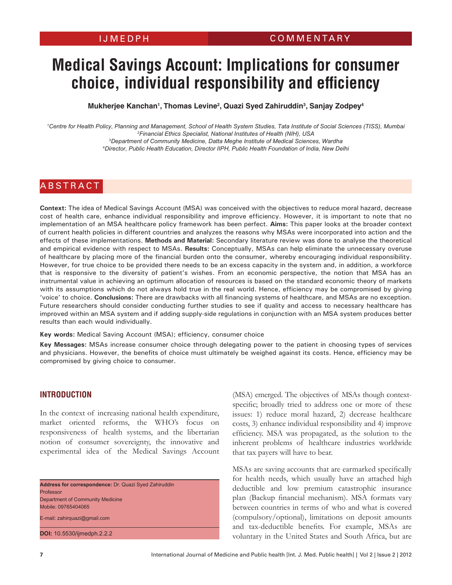# **Medical Savings Account: Implications for consumer choice, individual responsibility and efficiency**

**Mukherjee Kanchan1 , Thomas Levine2 , Quazi Syed Zahiruddin3 , Sanjay Zodpey4**

 *Centre for Health Policy, Planning and Management, School of Health System Studies, Tata Institute of Social Sciences (TISS), Mumbai Financial Ethics Specialist, National Institutes of Health (NIH), USA Department of Community Medicine, Datta Meghe Institute of Medical Sciences, Wardha Director, Public Health Education, Director IIPH, Public Health Foundation of India, New Delhi*

# A B S T R A C T

**Context:** The idea of Medical Savings Account (MSA) was conceived with the objectives to reduce moral hazard, decrease cost of health care, enhance individual responsibility and improve efficiency. However, it is important to note that no implementation of an MSA healthcare policy framework has been perfect. **Aims:** This paper looks at the broader context of current health policies in different countries and analyzes the reasons why MSAs were incorporated into action and the effects of these implementations. **Methods and Material:** Secondary literature review was done to analyse the theoretical and empirical evidence with respect to MSAs. **Results:** Conceptually, MSAs can help eliminate the unnecessary overuse of healthcare by placing more of the financial burden onto the consumer, whereby encouraging individual responsibility. However, for true choice to be provided there needs to be an excess capacity in the system and, in addition, a workforce that is responsive to the diversity of patient's wishes. From an economic perspective, the notion that MSA has an instrumental value in achieving an optimum allocation of resources is based on the standard economic theory of markets with its assumptions which do not always hold true in the real world. Hence, efficiency may be compromised by giving 'voice' to choice. **Conclusions:** There are drawbacks with all financing systems of healthcare, and MSAs are no exception. Future researchers should consider conducting further studies to see if quality and access to necessary healthcare has improved within an MSA system and if adding supply-side regulations in conjunction with an MSA system produces better results than each would individually.

**Key words:** Medical Saving Account (MSA); efficiency, consumer choice

**Key Messages:** MSAs increase consumer choice through delegating power to the patient in choosing types of services and physicians. However, the benefits of choice must ultimately be weighed against its costs. Hence, efficiency may be compromised by giving choice to consumer.

## **Introduction**

In the context of increasing national health expenditure, market oriented reforms, the WHO's focus on responsiveness of health systems, and the libertarian notion of consumer sovereignty, the innovative and experimental idea of the Medical Savings Account

**Address for correspondence:** Dr. Quazi Syed Zahiruddin Professor Department of Community Medicine Mobile: 09765404065 E-mail: zahirquazi@gmail.com **DOI:** 10.5530/ijmedph.2.2.2

(MSA) emerged. The objectives of MSAs though contextspecific; broadly tried to address one or more of these issues: 1) reduce moral hazard, 2) decrease healthcare costs, 3) enhance individual responsibility and 4) improve efficiency. MSA was propagated, as the solution to the inherent problems of healthcare industries worldwide that tax payers will have to bear.

MSAs are saving accounts that are earmarked specifically for health needs, which usually have an attached high deductible and low premium catastrophic insurance plan (Backup financial mechanism). MSA formats vary between countries in terms of who and what is covered (compulsory/optional), limitations on deposit amounts and tax-deductible benefits. For example, MSAs are voluntary in the United States and South Africa, but are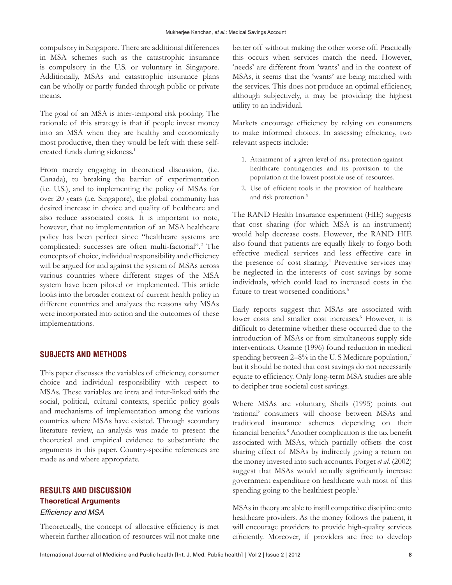compulsory in Singapore. There are additional differences in MSA schemes such as the catastrophic insurance is compulsory in the U.S. or voluntary in Singapore. Additionally, MSAs and catastrophic insurance plans can be wholly or partly funded through public or private means.

The goal of an MSA is inter-temporal risk pooling. The rationale of this strategy is that if people invest money into an MSA when they are healthy and economically most productive, then they would be left with these selfcreated funds during sickness.<sup>1</sup>

From merely engaging in theoretical discussion, (i.e. Canada), to breaking the barrier of experimentation (i.e. U.S.), and to implementing the policy of MSAs for over 20 years (i.e. Singapore), the global community has desired increase in choice and quality of healthcare and also reduce associated costs. It is important to note, however, that no implementation of an MSA healthcare policy has been perfect since "healthcare systems are complicated: successes are often multi-factorial".2 The concepts of choice, individual responsibility and efficiency will be argued for and against the system of MSAs across various countries where different stages of the MSA system have been piloted or implemented. This article looks into the broader context of current health policy in different countries and analyzes the reasons why MSAs were incorporated into action and the outcomes of these implementations.

### **Subjects and Methods**

This paper discusses the variables of efficiency, consumer choice and individual responsibility with respect to MSAs. These variables are intra and inter-linked with the social, political, cultural contexts, specific policy goals and mechanisms of implementation among the various countries where MSAs have existed. Through secondary literature review, an analysis was made to present the theoretical and empirical evidence to substantiate the arguments in this paper. Country-specific references are made as and where appropriate.

# **Results and Discussion Theoretical Arguments**

# Efficiency and MSA

Theoretically, the concept of allocative efficiency is met wherein further allocation of resources will not make one better off without making the other worse off. Practically this occurs when services match the need. However, 'needs' are different from 'wants' and in the context of MSAs, it seems that the 'wants' are being matched with the services. This does not produce an optimal efficiency, although subjectively, it may be providing the highest utility to an individual.

Markets encourage efficiency by relying on consumers to make informed choices. In assessing efficiency, two relevant aspects include:

- 1. Attainment of a given level of risk protection against healthcare contingencies and its provision to the population at the lowest possible use of resources.
- 2. Use of efficient tools in the provision of healthcare and risk protection.<sup>3</sup>

The RAND Health Insurance experiment (HIE) suggests that cost sharing (for which MSA is an instrument) would help decrease costs. However, the RAND HIE also found that patients are equally likely to forgo both effective medical services and less effective care in the presence of cost sharing.<sup>4</sup> Preventive services may be neglected in the interests of cost savings by some individuals, which could lead to increased costs in the future to treat worsened conditions.<sup>5</sup>

Early reports suggest that MSAs are associated with lower costs and smaller cost increases.<sup>6</sup> However, it is difficult to determine whether these occurred due to the introduction of MSAs or from simultaneous supply side interventions. Ozanne (1996) found reduction in medical spending between 2–8% in the U. S Medicare population,<sup>7</sup> but it should be noted that cost savings do not necessarily equate to efficiency. Only long-term MSA studies are able to decipher true societal cost savings.

Where MSAs are voluntary, Sheils (1995) points out 'rational' consumers will choose between MSAs and traditional insurance schemes depending on their financial benefits.<sup>8</sup> Another complication is the tax benefit associated with MSAs, which partially offsets the cost sharing effect of MSAs by indirectly giving a return on the money invested into such accounts. Forget *et al*. (2002) suggest that MSAs would actually significantly increase government expenditure on healthcare with most of this spending going to the healthiest people.<sup>9</sup>

MSAs in theory are able to instill competitive discipline onto healthcare providers. As the money follows the patient, it will encourage providers to provide high-quality services efficiently. Moreover, if providers are free to develop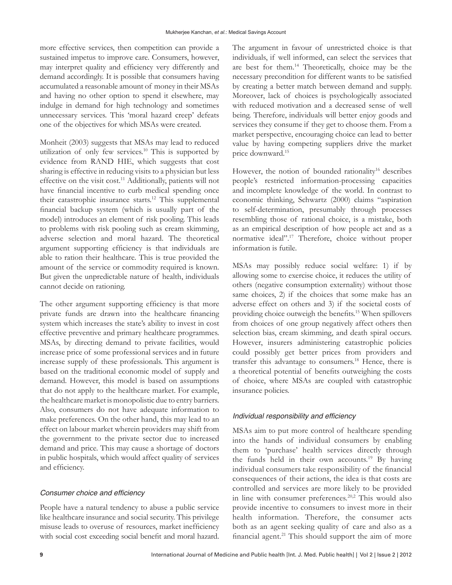more effective services, then competition can provide a sustained impetus to improve care. Consumers, however, may interpret quality and efficiency very differently and demand accordingly. It is possible that consumers having accumulated a reasonable amount of money in their MSAs and having no other option to spend it elsewhere, may indulge in demand for high technology and sometimes unnecessary services. This 'moral hazard creep' defeats one of the objectives for which MSAs were created.

Monheit (2003) suggests that MSAs may lead to reduced utilization of only few services.10 This is supported by evidence from RAND HIE, which suggests that cost sharing is effective in reducing visits to a physician but less effective on the visit cost.<sup>11</sup> Additionally, patients will not have financial incentive to curb medical spending once their catastrophic insurance starts.12 This supplemental financial backup system (which is usually part of the model) introduces an element of risk pooling. This leads to problems with risk pooling such as cream skimming, adverse selection and moral hazard. The theoretical argument supporting efficiency is that individuals are able to ration their healthcare. This is true provided the amount of the service or commodity required is known. But given the unpredictable nature of health, individuals cannot decide on rationing.

The other argument supporting efficiency is that more private funds are drawn into the healthcare financing system which increases the state's ability to invest in cost effective preventive and primary healthcare programmes. MSAs, by directing demand to private facilities, would increase price of some professional services and in future increase supply of these professionals. This argument is based on the traditional economic model of supply and demand. However, this model is based on assumptions that do not apply to the healthcare market. For example, the healthcare market is monopolistic due to entry barriers. Also, consumers do not have adequate information to make preferences. On the other hand, this may lead to an effect on labour market wherein providers may shift from the government to the private sector due to increased demand and price. This may cause a shortage of doctors in public hospitals, which would affect quality of services and efficiency.

#### Consumer choice and efficiency

People have a natural tendency to abuse a public service like healthcare insurance and social security. This privilege misuse leads to overuse of resources, market inefficiency with social cost exceeding social benefit and moral hazard. The argument in favour of unrestricted choice is that individuals, if well informed, can select the services that are best for them.14 Theoretically, choice may be the necessary precondition for different wants to be satisfied by creating a better match between demand and supply. Moreover, lack of choices is psychologically associated with reduced motivation and a decreased sense of well being. Therefore, individuals will better enjoy goods and services they consume if they get to choose them. From a market perspective, encouraging choice can lead to better value by having competing suppliers drive the market price downward.<sup>15</sup>

However, the notion of bounded rationality<sup>16</sup> describes people's restricted information-processing capacities and incomplete knowledge of the world. In contrast to economic thinking, Schwartz (2000) claims "aspiration to self-determination, presumably through processes resembling those of rational choice, is a mistake, both as an empirical description of how people act and as a normative ideal".<sup>17</sup> Therefore, choice without proper information is futile.

MSAs may possibly reduce social welfare: 1) if by allowing some to exercise choice, it reduces the utility of others (negative consumption externality) without those same choices, 2) if the choices that some make has an adverse effect on others and 3) if the societal costs of providing choice outweigh the benefits.<sup>15</sup> When spillovers from choices of one group negatively affect others then selection bias, cream skimming, and death spiral occurs. However, insurers administering catastrophic policies could possibly get better prices from providers and transfer this advantage to consumers.<sup>18</sup> Hence, there is a theoretical potential of benefits outweighing the costs of choice, where MSAs are coupled with catastrophic insurance policies.

#### Individual responsibility and efficiency

MSAs aim to put more control of healthcare spending into the hands of individual consumers by enabling them to 'purchase' health services directly through the funds held in their own accounts.<sup>19</sup> By having individual consumers take responsibility of the financial consequences of their actions, the idea is that costs are controlled and services are more likely to be provided in line with consumer preferences.20,2 This would also provide incentive to consumers to invest more in their health information. Therefore, the consumer acts both as an agent seeking quality of care and also as a financial agent.21 This should support the aim of more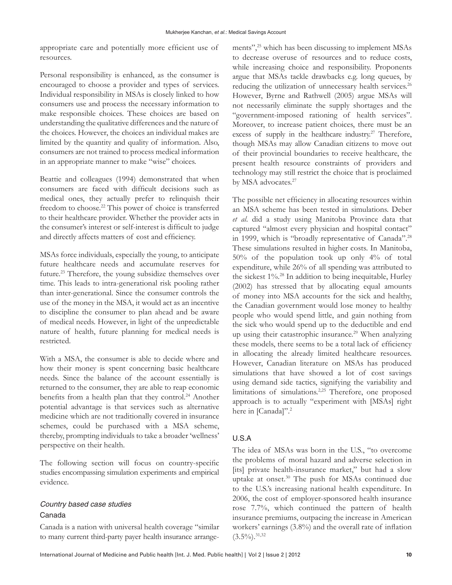appropriate care and potentially more efficient use of resources.

Personal responsibility is enhanced, as the consumer is encouraged to choose a provider and types of services. Individual responsibility in MSAs is closely linked to how consumers use and process the necessary information to make responsible choices. These choices are based on understanding the qualitative differences and the nature of the choices. However, the choices an individual makes are limited by the quantity and quality of information. Also, consumers are not trained to process medical information in an appropriate manner to make "wise" choices.

Beattie and colleagues (1994) demonstrated that when consumers are faced with difficult decisions such as medical ones, they actually prefer to relinquish their freedom to choose.22 This power of choice is transferred to their healthcare provider. Whether the provider acts in the consumer's interest or self-interest is difficult to judge and directly affects matters of cost and efficiency.

MSAs force individuals, especially the young, to anticipate future healthcare needs and accumulate reserves for future.<sup>23</sup> Therefore, the young subsidize themselves over time. This leads to intra-generational risk pooling rather than inter-generational. Since the consumer controls the use of the money in the MSA, it would act as an incentive to discipline the consumer to plan ahead and be aware of medical needs. However, in light of the unpredictable nature of health, future planning for medical needs is restricted.

With a MSA, the consumer is able to decide where and how their money is spent concerning basic healthcare needs. Since the balance of the account essentially is returned to the consumer, they are able to reap economic benefits from a health plan that they control.<sup>24</sup> Another potential advantage is that services such as alternative medicine which are not traditionally covered in insurance schemes, could be purchased with a MSA scheme, thereby, prompting individuals to take a broader 'wellness' perspective on their health.

The following section will focus on country-specific studies encompassing simulation experiments and empirical evidence.

# Country based case studies Canada

Canada is a nation with universal health coverage "similar to many current third-party payer health insurance arrangements",25 which has been discussing to implement MSAs to decrease overuse of resources and to reduce costs, while increasing choice and responsibility. Proponents argue that MSAs tackle drawbacks e.g. long queues, by reducing the utilization of unnecessary health services.<sup>26</sup> However, Byrne and Rathwell (2005) argue MSAs will not necessarily eliminate the supply shortages and the "government-imposed rationing of health services". Moreover, to increase patient choices, there must be an excess of supply in the healthcare industry.<sup>27</sup> Therefore, though MSAs may allow Canadian citizens to move out of their provincial boundaries to receive healthcare, the present health resource constraints of providers and technology may still restrict the choice that is proclaimed by MSA advocates.<sup>27</sup>

The possible net efficiency in allocating resources within an MSA scheme has been tested in simulations. Deber *et al*. did a study using Manitoba Province data that captured "almost every physician and hospital contact" in 1999, which is "broadly representative of Canada".28 These simulations resulted in higher costs. In Manitoba, 50% of the population took up only 4% of total expenditure, while 26% of all spending was attributed to the sickest 1%.28 In addition to being inequitable, Hurley (2002) has stressed that by allocating equal amounts of money into MSA accounts for the sick and healthy, the Canadian government would lose money to healthy people who would spend little, and gain nothing from the sick who would spend up to the deductible and end up using their catastrophic insurance.<sup>29</sup> When analyzing these models, there seems to be a total lack of efficiency in allocating the already limited healthcare resources. However, Canadian literature on MSAs has produced simulations that have showed a lot of cost savings using demand side tactics, signifying the variability and limitations of simulations.2,25 Therefore, one proposed approach is to actually "experiment with [MSAs] right here in [Canada]".<sup>2</sup>

## U.S.A

The idea of MSAs was born in the U.S., "to overcome the problems of moral hazard and adverse selection in [its] private health-insurance market," but had a slow uptake at onset.30 The push for MSAs continued due to the U.S.'s increasing national health expenditure. In 2006, the cost of employer-sponsored health insurance rose 7.7%, which continued the pattern of health insurance premiums, outpacing the increase in American workers' earnings (3.8%) and the overall rate of inflation  $(3.5\%)$ <sup>31,32</sup>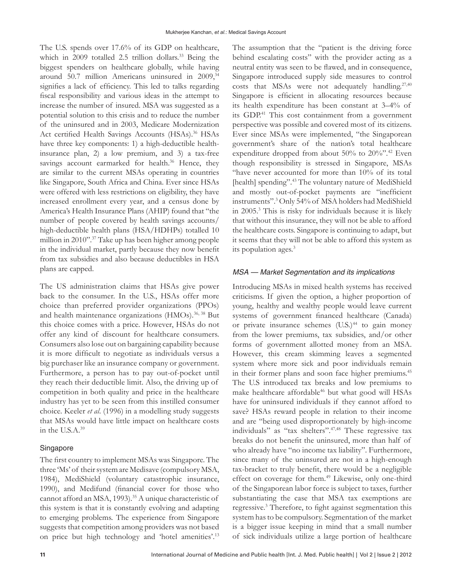The U.S. spends over 17.6% of its GDP on healthcare, which in 2009 totalled 2.5 trillion dollars.<sup>33</sup> Being the biggest spenders on healthcare globally, while having around 50.7 million Americans uninsured in 2009,<sup>34</sup> signifies a lack of efficiency. This led to talks regarding fiscal responsibility and various ideas in the attempt to increase the number of insured. MSA was suggested as a potential solution to this crisis and to reduce the number of the uninsured and in 2003, Medicare Modernization Act certified Health Savings Accounts (HSAs).<sup>36</sup> HSAs have three key components: 1) a high-deductible healthinsurance plan, 2) a low premium, and 3) a tax-free savings account earmarked for health.<sup>36</sup> Hence, they are similar to the current MSAs operating in countries like Singapore, South Africa and China. Ever since HSAs were offered with less restrictions on eligibility, they have increased enrollment every year, and a census done by America's Health Insurance Plans (AHIP) found that "the number of people covered by health savings accounts/ high-deductible health plans (HSA/HDHPs) totalled 10 million in 2010".37 Take up has been higher among people in the individual market, partly because they now benefit from tax subsidies and also because deductibles in HSA plans are capped.

The US administration claims that HSAs give power back to the consumer. In the U.S., HSAs offer more choice than preferred provider organizations (PPOs) and health maintenance organizations (HMOs).<sup>36, 38</sup> But this choice comes with a price. However, HSAs do not offer any kind of discount for healthcare consumers. Consumers also lose out on bargaining capability because it is more difficult to negotiate as individuals versus a big purchaser like an insurance company or government. Furthermore, a person has to pay out-of-pocket until they reach their deductible limit. Also, the driving up of competition in both quality and price in the healthcare industry has yet to be seen from this instilled consumer choice. Keeler *et al*. (1996) in a modelling study suggests that MSAs would have little impact on healthcare costs in the U.S.A.<sup>39</sup>

#### Singapore

The first country to implement MSAs was Singapore. The three 'Ms' of their system are Medisave (compulsory MSA, 1984), MediShield (voluntary catastrophic insurance, 1990), and Medifund (financial cover for those who cannot afford an MSA, 1993).<sup>35</sup> A unique characteristic of this system is that it is constantly evolving and adapting to emerging problems. The experience from Singapore suggests that competition among providers was not based on price but high technology and 'hotel amenities'.13

The assumption that the "patient is the driving force behind escalating costs" with the provider acting as a neutral entity was seen to be flawed, and in consequence, Singapore introduced supply side measures to control costs that MSAs were not adequately handling. $27,40$ Singapore is efficient in allocating resources because its health expenditure has been constant at 3–4% of its GDP.<sup>41</sup> This cost containment from a government perspective was possible and covered most of its citizens. Ever since MSAs were implemented, "the Singaporean government's share of the nation's total healthcare expenditure dropped from about 50% to  $20\%$ ".<sup>42</sup> Even though responsibility is stressed in Singapore, MSAs "have never accounted for more than 10% of its total [health] spending".<sup>43</sup> The voluntary nature of MediShield and mostly out-of-pocket payments are "inefficient instruments".3 Only 54% of MSA holders had MediShield in 2005.3 This is risky for individuals because it is likely that without this insurance, they will not be able to afford the healthcare costs. Singapore is continuing to adapt, but it seems that they will not be able to afford this system as its population ages.3

#### MSA — Market Segmentation and its implications

Introducing MSAs in mixed health systems has received criticisms. If given the option, a higher proportion of young, healthy and wealthy people would leave current systems of government financed healthcare (Canada) or private insurance schemes  $(US)^{44}$  to gain money from the lower premiums, tax subsidies, and/or other forms of government allotted money from an MSA. However, this cream skimming leaves a segmented system where more sick and poor individuals remain in their former plans and soon face higher premiums.<sup>45</sup> The U.S introduced tax breaks and low premiums to make healthcare affordable<sup>46</sup> but what good will HSAs have for uninsured individuals if they cannot afford to save? HSAs reward people in relation to their income and are "being used disproportionately by high-income individuals" as "tax shelters".47,48 These regressive tax breaks do not benefit the uninsured, more than half of who already have "no income tax liability". Furthermore, since many of the uninsured are not in a high-enough tax-bracket to truly benefit, there would be a negligible effect on coverage for them.<sup>49</sup> Likewise, only one-third of the Singaporean labor force is subject to taxes, further substantiating the case that MSA tax exemptions are regressive.<sup>3</sup> Therefore, to fight against segmentation this system has to be compulsory. Segmentation of the market is a bigger issue keeping in mind that a small number of sick individuals utilize a large portion of healthcare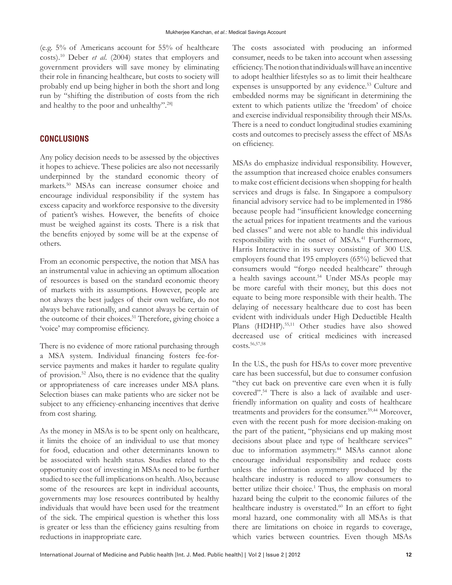(e.g. 5% of Americans account for 55% of healthcare costs).<sup>10</sup> Deber *et al*. (2004) states that employers and government providers will save money by eliminating their role in financing healthcare, but costs to society will probably end up being higher in both the short and long run by "shifting the distribution of costs from the rich and healthy to the poor and unhealthy".28]

#### **Conclusions**

Any policy decision needs to be assessed by the objectives it hopes to achieve. These policies are also not necessarily underpinned by the standard economic theory of markets.50 MSAs can increase consumer choice and encourage individual responsibility if the system has excess capacity and workforce responsive to the diversity of patient's wishes. However, the benefits of choice must be weighed against its costs. There is a risk that the benefits enjoyed by some will be at the expense of others.

From an economic perspective, the notion that MSA has an instrumental value in achieving an optimum allocation of resources is based on the standard economic theory of markets with its assumptions. However, people are not always the best judges of their own welfare, do not always behave rationally, and cannot always be certain of the outcome of their choices.<sup>51</sup> Therefore, giving choice a 'voice' may compromise efficiency.

There is no evidence of more rational purchasing through a MSA system. Individual financing fosters fee-forservice payments and makes it harder to regulate quality of provision.52 Also, there is no evidence that the quality or appropriateness of care increases under MSA plans. Selection biases can make patients who are sicker not be subject to any efficiency-enhancing incentives that derive from cost sharing.

As the money in MSAs is to be spent only on healthcare, it limits the choice of an individual to use that money for food, education and other determinants known to be associated with health status. Studies related to the opportunity cost of investing in MSAs need to be further studied to see the full implications on health. Also, because some of the resources are kept in individual accounts, governments may lose resources contributed by healthy individuals that would have been used for the treatment of the sick. The empirical question is whether this loss is greater or less than the efficiency gains resulting from reductions in inappropriate care.

The costs associated with producing an informed consumer, needs to be taken into account when assessing efficiency. The notion that individuals will have an incentive to adopt healthier lifestyles so as to limit their healthcare expenses is unsupported by any evidence.<sup>53</sup> Culture and embedded norms may be significant in determining the extent to which patients utilize the 'freedom' of choice and exercise individual responsibility through their MSAs. There is a need to conduct longitudinal studies examining costs and outcomes to precisely assess the effect of MSAs on efficiency.

MSAs do emphasize individual responsibility. However, the assumption that increased choice enables consumers to make cost efficient decisions when shopping for health services and drugs is false. In Singapore a compulsory financial advisory service had to be implemented in 1986 because people had "insufficient knowledge concerning the actual prices for inpatient treatments and the various bed classes" and were not able to handle this individual responsibility with the onset of MSAs.<sup>41</sup> Furthermore, Harris Interactive in its survey consisting of 300 U.S. employers found that 195 employers (65%) believed that consumers would "forgo needed healthcare" through a health savings account.<sup>54</sup> Under MSAs people may be more careful with their money, but this does not equate to being more responsible with their health. The delaying of necessary healthcare due to cost has been evident with individuals under High Deductible Health Plans (HDHP).<sup>55,11</sup> Other studies have also showed decreased use of critical medicines with increased costs.56,57,58

In the U.S., the push for HSAs to cover more preventive care has been successful, but due to consumer confusion "they cut back on preventive care even when it is fully covered".54 There is also a lack of available and userfriendly information on quality and costs of healthcare treatments and providers for the consumer.59,44 Moreover, even with the recent push for more decision-making on the part of the patient, "physicians end up making most decisions about place and type of healthcare services" due to information asymmetry.<sup>44</sup> MSAs cannot alone encourage individual responsibility and reduce costs unless the information asymmetry produced by the healthcare industry is reduced to allow consumers to better utilize their choice.<sup>1</sup> Thus, the emphasis on moral hazard being the culprit to the economic failures of the healthcare industry is overstated.<sup>60</sup> In an effort to fight moral hazard, one commonality with all MSAs is that there are limitations on choice in regards to coverage, which varies between countries. Even though MSAs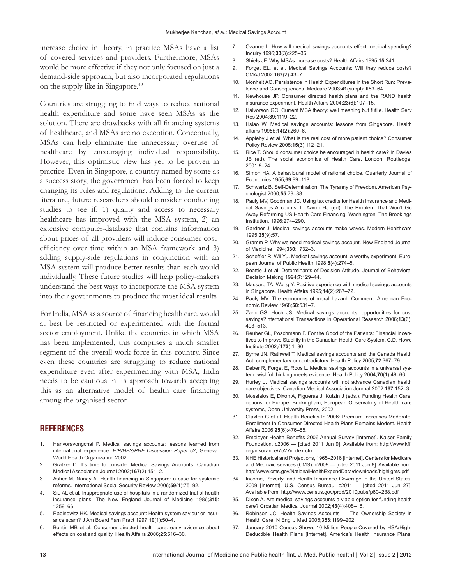increase choice in theory, in practice MSAs have a list of covered services and providers. Furthermore, MSAs would be more effective if they not only focused on just a demand-side approach, but also incorporated regulations on the supply like in Singapore.40

Countries are struggling to find ways to reduce national health expenditure and some have seen MSAs as the solution. There are drawbacks with all financing systems of healthcare, and MSAs are no exception. Conceptually, MSAs can help eliminate the unnecessary overuse of healthcare by encouraging individual responsibility. However, this optimistic view has yet to be proven in practice. Even in Singapore, a country named by some as a success story, the government has been forced to keep changing its rules and regulations. Adding to the current literature, future researchers should consider conducting studies to see if: 1) quality and access to necessary healthcare has improved with the MSA system, 2) an extensive computer-database that contains information about prices of all providers will induce consumer costefficiency over time within an MSA framework and 3) adding supply-side regulations in conjunction with an MSA system will produce better results than each would individually. These future studies will help policy-makers understand the best ways to incorporate the MSA system into their governments to produce the most ideal results.

For India, MSA as a source of financing health care, would at best be restricted or experimented with the formal sector employment. Unlike the countries in which MSA has been implemented, this comprises a much smaller segment of the overall work force in this country. Since even these countries are struggling to reduce national expenditure even after experimenting with MSA, India needs to be cautious in its approach towards accepting this as an alternative model of health care financing among the organised sector.

#### **References**

- Hanvoravongchai P. Medical savings accounts: lessons learned from international experience. *EIP/HFS/PHF Discussion Paper* 52, Geneva: World Health Organization 2002.
- 2. Gratzer D. It's time to consider Medical Savings Accounts. Canadian Medical Association Journal 2002;**167**(2):151–2.
- 3. Asher M, Nandy A. Health financing in Singapore: a case for systemic reforms. International Social Security Review 2006;**59**(1):75–92.
- 4. Siu AL et al. Inappropriate use of hospitals in a randomized trial of health insurance plans. The New England Journal of Medicine 1986;**315**: 1259–66.
- 5. Radinowitz HK. Medical savings account: Health system saviour or insurance scam? J Am Board Fam Pract 1997;**10**(1):50–4.
- 6. Buntin MB et al. Consumer directed health care: early evidence about effects on cost and quality. Health Affairs 2006;**25**:516–30.
- 7. Ozanne L. How will medical savings accounts effect medical spending? Inquiry 1996;**33**(3):225–36.
- 8. Shiels JF. Why MSAs increase costs? Health Affairs 1995;**15**:241.
- 9. Forget EL. et al. Medical Savings Accounts: Will they reduce costs? CMAJ 2002:**167**(2):43–7.
- 10. Monheit AC. Persistence in Health Expenditures in the Short Run: Prevalence and Consequences. Medcare 2003;**41**(suppl):III53–64.
- 11. Newhouse JP. Consumer directed health plans and the RAND health insurance experiment. Health Affairs 2004;**23**(6):107–15.
- 12. Halvorson GC. Current MSA theory: well meaning but futile. Health Serv Res 2004;**39**:1119–22.
- 13. Hsiao W. Medical savings accounts: lessons from Singapore. Health affairs 1995b;**14**(2):260–6.
- 14. Appleby J et al. What is the real cost of more patient choice? Consumer Policy Review 2005;**15**(3):112–21.
- 15. Rice T. Should consumer choice be encouraged in health care? In Davies JB (ed). The social economics of Health Care. London, Routledge, 2001;9–24.
- 16. Simon HA. A behavioural model of rational choice. Quarterly Journal of Economics 1955;**69**:99–118.
- 17. Schwartz B. Self-Determination: The Tyranny of Freedom. American Psychologist 2000;**55**:79–88.
- 18. Pauly MV, Goodman JC. Using tax credits for Health Insurance and Medical Savings Accounts. In Aaron HJ (ed). The Problem That Won't Go Away Reforming US Health Care Financing. Washington, The Brookings Institution, 1996;274–290.
- 19. Gardner J. Medical savings accounts make waves. Modern Healthcare 1995;**25**(9):57.
- 20. Gramm P. Why we need medical savings account. New England Journal of Medicine 1994;**330**:1732–3.
- 21. Scheffler R, Wil Yu. Medical savings account: a worthy experiment. European Journal of Public Health 1998;**8**(4):274–5.
- 22. Beattie J et al. Determinants of Decision Attitude. Journal of Behavioral Decision Making 1994;**7**:129–44.
- 23. Massaro TA, Wong Y. Positive experience with medical savings accounts in Singapore. Health Affairs 1995;**14**(2):267–72.
- 24. Pauly MV. The economics of moral hazard: Comment. American Economic Review 1968;**58**:531–7.
- 25. Zaric GS, Hoch JS. Medical savings accounts: opportunities for cost savings?International Transactions in Operational Research 2006;**13**(6): 493–513.
- 26. Reuber GL, Poschmann F. For the Good of the Patients: Financial Incentives to Improve Stability in the Canadian Health Care System. C.D. Howe Institute 2002;(**173**):1–30.
- 27. Byrne JN, Rathwell T. Medical savings accounts and the Canada Health Act: complementary or contradictory. Health Policy 2005;**72**:367–79.
- 28. Deber R, Forget E, Roos L. Medical savings accounts in a universal system: wishful thinking meets evidence. Health Policy 2004;**70**(1):49–66.
- 29. Hurley J. Medical savings accounts will not advance Canadian health care objectives. Canadian Medical Association Journal 2002;**167**:152–3.
- 30. Mossialos E, Dixon A, Figueras J, Kutzin J (eds.). Funding Health Care: options for Europe. Buckingham, European Observatory of Health care systems, Open University Press, 2002.
- 31. Claxton G et al. Health Benefits In 2006: Premium Increases Moderate, Enrollment In Consumer-Directed Health Plans Remains Modest. Health Affairs 2006;**25**(6):476–85.
- 32. Employer Health Benefits 2006 Annual Survey [Internet]. Kaiser Family Foundation. c2006 — [cited 2011 Jun 9]. Available from: http://www.kff. org/insurance/7527/index.cfm
- 33. NHE Historical and Projections, 1965–2016 [Internet]. Centers for Medicare and Medicaid services (CMS); c2009 — [cited 2011 Jun 8]. Available from: http://www.cms.gov/NationalHealthExpendData/downloads/highlights.pdf
- 34. Income, Poverty, and Health Insurance Coverage in the United States: 2009 [Internet]. U.S. Census Bureau. c2011 — [cited 2011 Jun 27]. Available from: http://www.census.gov/prod/2010pubs/p60–238.pdf
- 35. Dixon A. Are medical savings accounts a viable option for funding health care? Croatian Medical Journal 2002;**43**(4):408–16.
- 36. Robinson JC. Health Savings Accounts The Ownership Society in Health Care. N Engl J Med 2005;**353**:1199–202.
- 37. January 2010 Census Shows 10 Million People Covered by HSA/High-Deductible Health Plans [Internet]. America's Health Insurance Plans.